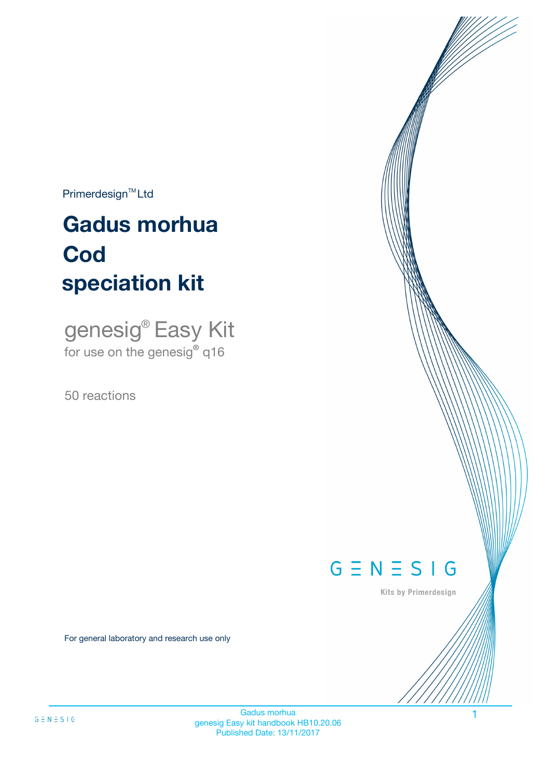$Primerdesign^{\text{TM}}Ltd$ 

# **Gadus morhua speciation kit Cod**

genesig® Easy Kit for use on the genesig**®** q16

50 reactions



Kits by Primerdesign

For general laboratory and research use only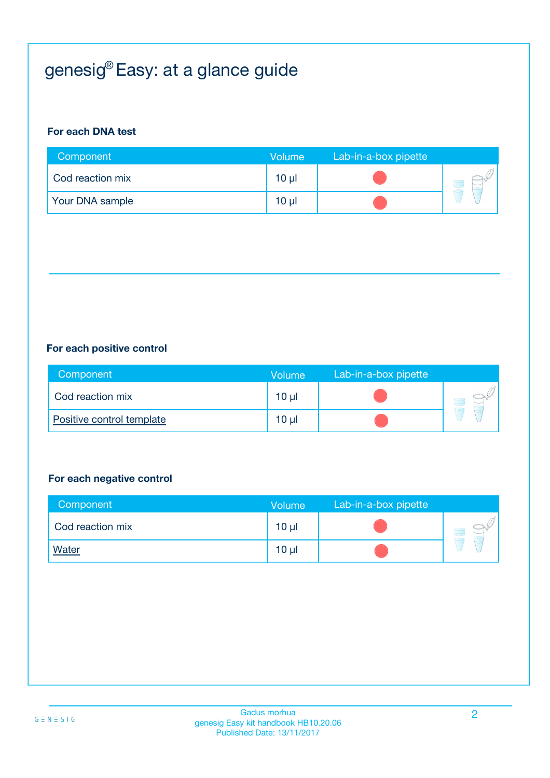# genesig® Easy: at a glance guide

#### **For each DNA test**

| Component        | Volume          | Lab-in-a-box pipette |  |
|------------------|-----------------|----------------------|--|
| Cod reaction mix | 10 <sub>µ</sub> |                      |  |
| Your DNA sample  | $10 \mu$        |                      |  |

#### **For each positive control**

| Component                 | <b>Volume</b> | Lab-in-a-box pipette |  |
|---------------------------|---------------|----------------------|--|
| Cod reaction mix          | 10 µl         |                      |  |
| Positive control template | 10 µl         |                      |  |

#### **For each negative control**

| Component        | <b>Volume</b> | Lab-in-a-box pipette |  |
|------------------|---------------|----------------------|--|
| Cod reaction mix | $10 \mu$      |                      |  |
| <b>Water</b>     | $10 \mu$      |                      |  |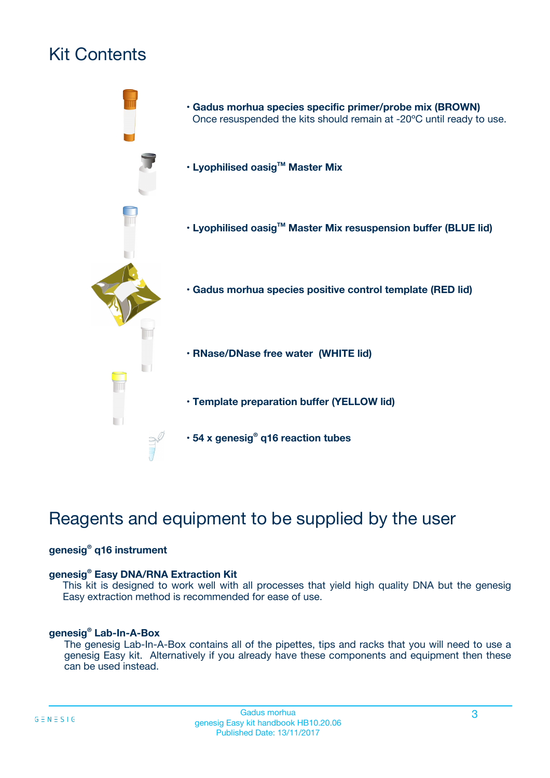# Kit Contents



# Reagents and equipment to be supplied by the user

#### **genesig® q16 instrument**

#### **genesig® Easy DNA/RNA Extraction Kit**

This kit is designed to work well with all processes that yield high quality DNA but the genesig Easy extraction method is recommended for ease of use.

#### **genesig® Lab-In-A-Box**

The genesig Lab-In-A-Box contains all of the pipettes, tips and racks that you will need to use a genesig Easy kit. Alternatively if you already have these components and equipment then these can be used instead.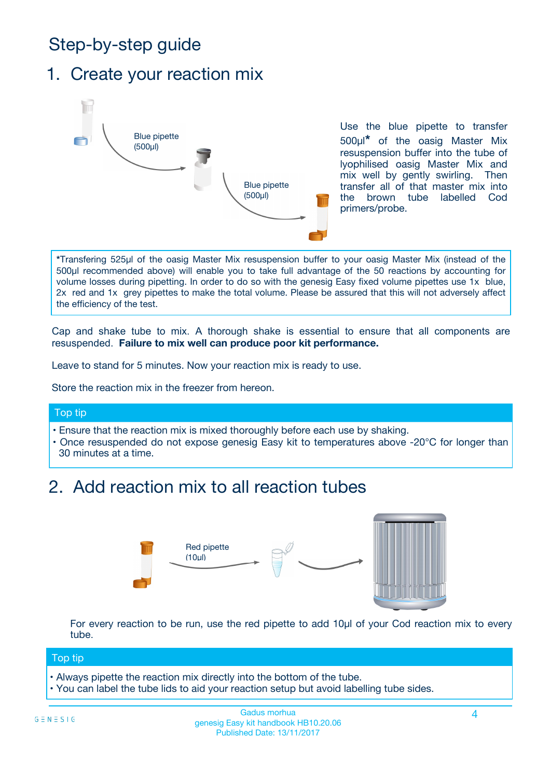# Step-by-step guide

### 1. Create your reaction mix



Use the blue pipette to transfer 500µl**\*** of the oasig Master Mix resuspension buffer into the tube of lyophilised oasig Master Mix and mix well by gently swirling. Then transfer all of that master mix into the brown tube labelled Cod primers/probe.

**\***Transfering 525µl of the oasig Master Mix resuspension buffer to your oasig Master Mix (instead of the 500µl recommended above) will enable you to take full advantage of the 50 reactions by accounting for volume losses during pipetting. In order to do so with the genesig Easy fixed volume pipettes use 1x blue, 2x red and 1x grey pipettes to make the total volume. Please be assured that this will not adversely affect the efficiency of the test.

Cap and shake tube to mix. A thorough shake is essential to ensure that all components are resuspended. **Failure to mix well can produce poor kit performance.**

Leave to stand for 5 minutes. Now your reaction mix is ready to use.

Store the reaction mix in the freezer from hereon.

#### Top tip

- Ensure that the reaction mix is mixed thoroughly before each use by shaking.
- **•** Once resuspended do not expose genesig Easy kit to temperatures above -20°C for longer than 30 minutes at a time.

### 2. Add reaction mix to all reaction tubes



For every reaction to be run, use the red pipette to add 10µl of your Cod reaction mix to every tube.

#### Top tip

- Always pipette the reaction mix directly into the bottom of the tube.
- You can label the tube lids to aid your reaction setup but avoid labelling tube sides.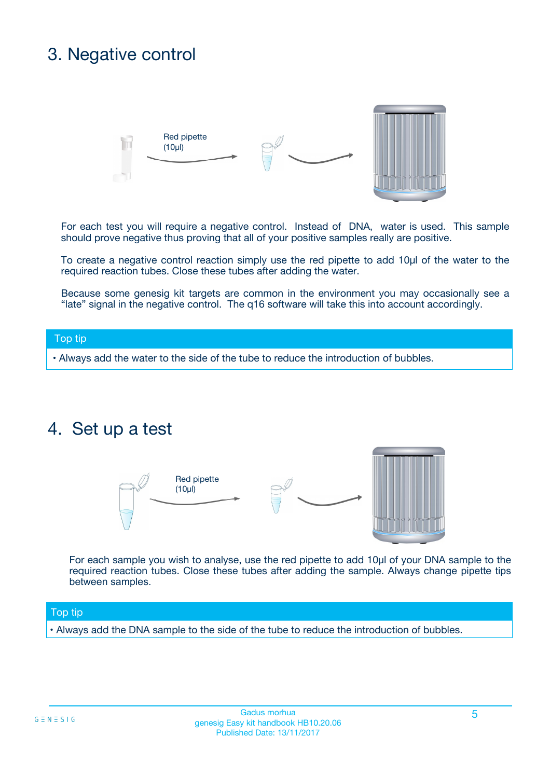# 3. Negative control



For each test you will require a negative control. Instead of DNA, water is used. This sample should prove negative thus proving that all of your positive samples really are positive.

To create a negative control reaction simply use the red pipette to add 10µl of the water to the required reaction tubes. Close these tubes after adding the water.

Because some genesig kit targets are common in the environment you may occasionally see a "late" signal in the negative control. The q16 software will take this into account accordingly.

#### Top tip

**•** Always add the water to the side of the tube to reduce the introduction of bubbles.

### 4. Set up a test



For each sample you wish to analyse, use the red pipette to add 10µl of your DNA sample to the required reaction tubes. Close these tubes after adding the sample. Always change pipette tips between samples.

#### Top tip

**•** Always add the DNA sample to the side of the tube to reduce the introduction of bubbles.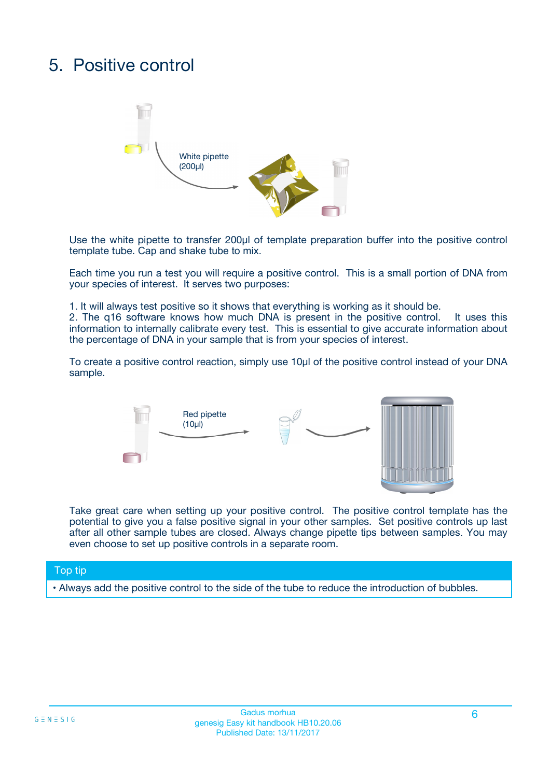# 5. Positive control



Use the white pipette to transfer 200µl of template preparation buffer into the positive control template tube. Cap and shake tube to mix.

Each time you run a test you will require a positive control. This is a small portion of DNA from your species of interest. It serves two purposes:

1. It will always test positive so it shows that everything is working as it should be.

2. The q16 software knows how much DNA is present in the positive control. It uses this information to internally calibrate every test. This is essential to give accurate information about the percentage of DNA in your sample that is from your species of interest.

To create a positive control reaction, simply use 10µl of the positive control instead of your DNA sample.



Take great care when setting up your positive control. The positive control template has the potential to give you a false positive signal in your other samples. Set positive controls up last after all other sample tubes are closed. Always change pipette tips between samples. You may even choose to set up positive controls in a separate room.

#### Top tip

**•** Always add the positive control to the side of the tube to reduce the introduction of bubbles.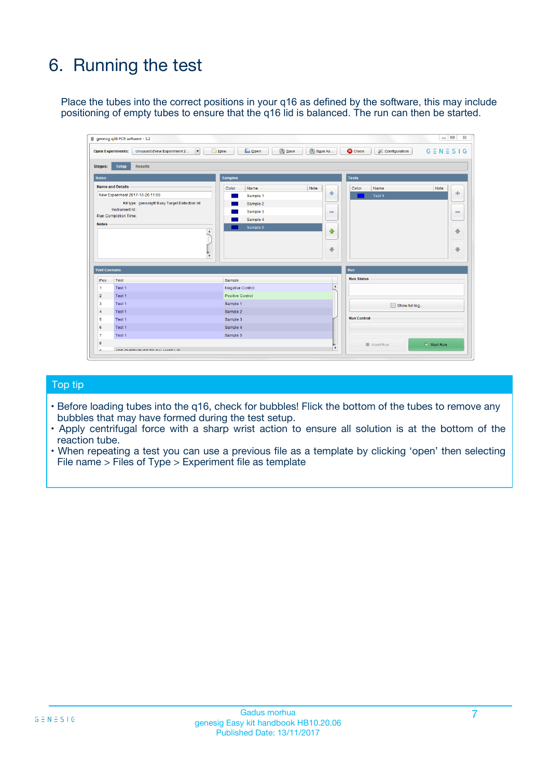# 6. Running the test

Place the tubes into the correct positions in your q16 as defined by the software, this may include positioning of empty tubes to ensure that the q16 lid is balanced. The run can then be started.

|                                    | genesig q16 PCR software - 1.2                                                    |                                     |                              |                                   | $\Box$<br>$\Sigma$           |
|------------------------------------|-----------------------------------------------------------------------------------|-------------------------------------|------------------------------|-----------------------------------|------------------------------|
|                                    | <b>Open Experiments:</b><br>Unsaved (New Experiment 2<br>$\overline{\phantom{a}}$ | <b>E</b> Open<br>Save<br>$\Box$ New | Save As                      | <b>C</b> Close<br>& Configuration | $G \equiv N \equiv S \mid G$ |
| Stages:                            | Setup<br><b>Results</b>                                                           |                                     |                              |                                   |                              |
| <b>Notes</b>                       |                                                                                   | <b>Samples</b>                      |                              | <b>Tests</b>                      |                              |
|                                    | <b>Name and Details</b>                                                           | Color<br>Name                       | Note                         | Color<br>Name                     | Note                         |
|                                    | New Experiment 2017-10-26 11:06                                                   | Sample 1                            | 유                            | Test <sub>1</sub>                 | ÷                            |
|                                    | Kit type: genesig® Easy Target Detection kit                                      | Sample 2                            |                              |                                   |                              |
|                                    | Instrument Id.:                                                                   | Sample 3                            | $\qquad \qquad \blacksquare$ |                                   | $\qquad \qquad \blacksquare$ |
|                                    | <b>Run Completion Time:</b>                                                       | Sample 4                            |                              |                                   |                              |
| <b>Notes</b>                       | $\blacktriangle$                                                                  | Sample 5                            | ♠<br>÷                       |                                   | 41<br>€                      |
| <b>Well Contents</b>               | $\overline{\mathbf{v}}$                                                           |                                     |                              | <b>Run</b>                        |                              |
| Pos.                               | <b>Test</b>                                                                       | Sample                              |                              | <b>Run Status</b>                 |                              |
| 1                                  | Test 1                                                                            | <b>Negative Control</b>             | $\blacktriangle$             |                                   |                              |
| $\overline{2}$                     | Test 1                                                                            | <b>Positive Control</b>             |                              |                                   |                              |
| 3                                  | Test 1                                                                            | Sample 1                            |                              | Show full log                     |                              |
|                                    | Test 1                                                                            | Sample 2                            |                              |                                   |                              |
|                                    |                                                                                   | Sample 3                            |                              | <b>Run Control</b>                |                              |
|                                    | Test 1                                                                            |                                     |                              |                                   |                              |
|                                    | Test 1                                                                            | Sample 4                            |                              |                                   |                              |
|                                    | Test 1                                                                            | Sample 5                            |                              |                                   |                              |
| 4<br>5<br>6<br>$\overline{7}$<br>8 |                                                                                   |                                     | $\overline{\mathbf{v}}$      | Abort Run                         | $\triangleright$ Start Run   |

#### Top tip

- Before loading tubes into the q16, check for bubbles! Flick the bottom of the tubes to remove any bubbles that may have formed during the test setup.
- Apply centrifugal force with a sharp wrist action to ensure all solution is at the bottom of the reaction tube.
- When repeating a test you can use a previous file as a template by clicking 'open' then selecting File name > Files of Type > Experiment file as template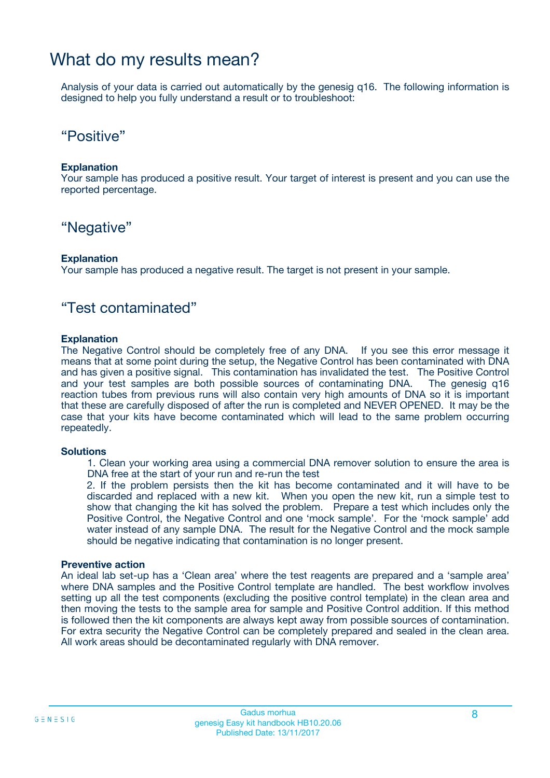### What do my results mean?

Analysis of your data is carried out automatically by the genesig q16. The following information is designed to help you fully understand a result or to troubleshoot:

### "Positive"

#### **Explanation**

Your sample has produced a positive result. Your target of interest is present and you can use the reported percentage.

### "Negative"

#### **Explanation**

Your sample has produced a negative result. The target is not present in your sample.

### "Test contaminated"

#### **Explanation**

The Negative Control should be completely free of any DNA. If you see this error message it means that at some point during the setup, the Negative Control has been contaminated with DNA and has given a positive signal. This contamination has invalidated the test. The Positive Control and your test samples are both possible sources of contaminating DNA. The genesig q16 reaction tubes from previous runs will also contain very high amounts of DNA so it is important that these are carefully disposed of after the run is completed and NEVER OPENED. It may be the case that your kits have become contaminated which will lead to the same problem occurring repeatedly.

#### **Solutions**

1. Clean your working area using a commercial DNA remover solution to ensure the area is DNA free at the start of your run and re-run the test

2. If the problem persists then the kit has become contaminated and it will have to be discarded and replaced with a new kit. When you open the new kit, run a simple test to show that changing the kit has solved the problem. Prepare a test which includes only the Positive Control, the Negative Control and one 'mock sample'. For the 'mock sample' add water instead of any sample DNA. The result for the Negative Control and the mock sample should be negative indicating that contamination is no longer present.

#### **Preventive action**

An ideal lab set-up has a 'Clean area' where the test reagents are prepared and a 'sample area' where DNA samples and the Positive Control template are handled. The best workflow involves setting up all the test components (excluding the positive control template) in the clean area and then moving the tests to the sample area for sample and Positive Control addition. If this method is followed then the kit components are always kept away from possible sources of contamination. For extra security the Negative Control can be completely prepared and sealed in the clean area. All work areas should be decontaminated regularly with DNA remover.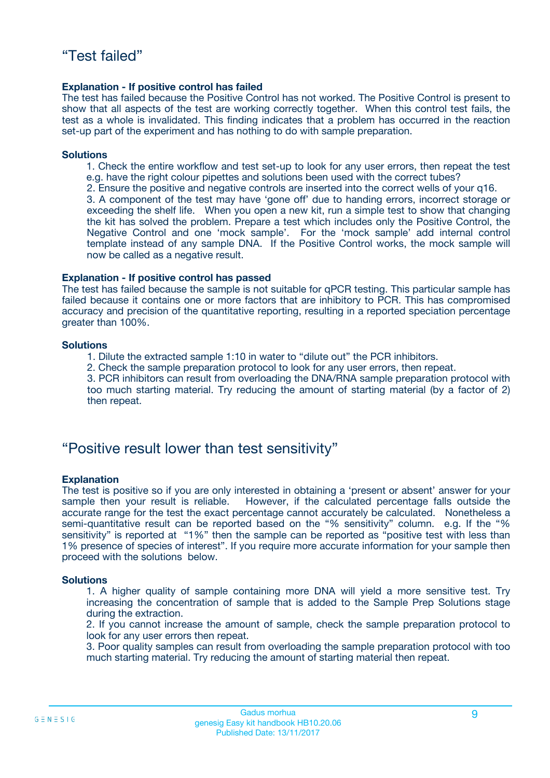#### **Explanation - If positive control has failed**

The test has failed because the Positive Control has not worked. The Positive Control is present to show that all aspects of the test are working correctly together. When this control test fails, the test as a whole is invalidated. This finding indicates that a problem has occurred in the reaction set-up part of the experiment and has nothing to do with sample preparation.

#### **Solutions**

- 1. Check the entire workflow and test set-up to look for any user errors, then repeat the test e.g. have the right colour pipettes and solutions been used with the correct tubes?
- 2. Ensure the positive and negative controls are inserted into the correct wells of your q16.

3. A component of the test may have 'gone off' due to handing errors, incorrect storage or exceeding the shelf life. When you open a new kit, run a simple test to show that changing the kit has solved the problem. Prepare a test which includes only the Positive Control, the Negative Control and one 'mock sample'. For the 'mock sample' add internal control template instead of any sample DNA. If the Positive Control works, the mock sample will now be called as a negative result.

#### **Explanation - If positive control has passed**

The test has failed because the sample is not suitable for qPCR testing. This particular sample has failed because it contains one or more factors that are inhibitory to PCR. This has compromised accuracy and precision of the quantitative reporting, resulting in a reported speciation percentage greater than 100%.

#### **Solutions**

- 1. Dilute the extracted sample 1:10 in water to "dilute out" the PCR inhibitors.
- 2. Check the sample preparation protocol to look for any user errors, then repeat.

3. PCR inhibitors can result from overloading the DNA/RNA sample preparation protocol with too much starting material. Try reducing the amount of starting material (by a factor of 2) then repeat.

### "Positive result lower than test sensitivity"

#### **Explanation**

The test is positive so if you are only interested in obtaining a 'present or absent' answer for your sample then your result is reliable. However, if the calculated percentage falls outside the accurate range for the test the exact percentage cannot accurately be calculated. Nonetheless a semi-quantitative result can be reported based on the "% sensitivity" column. e.g. If the "% sensitivity" is reported at "1%" then the sample can be reported as "positive test with less than 1% presence of species of interest". If you require more accurate information for your sample then proceed with the solutions below.

#### **Solutions**

1. A higher quality of sample containing more DNA will yield a more sensitive test. Try increasing the concentration of sample that is added to the Sample Prep Solutions stage during the extraction.

2. If you cannot increase the amount of sample, check the sample preparation protocol to look for any user errors then repeat.

3. Poor quality samples can result from overloading the sample preparation protocol with too much starting material. Try reducing the amount of starting material then repeat.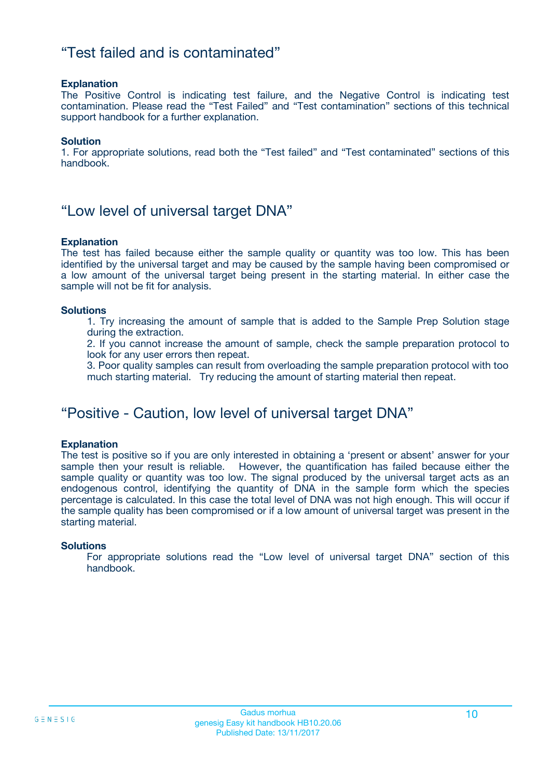### "Test failed and is contaminated"

#### **Explanation**

The Positive Control is indicating test failure, and the Negative Control is indicating test contamination. Please read the "Test Failed" and "Test contamination" sections of this technical support handbook for a further explanation.

#### **Solution**

1. For appropriate solutions, read both the "Test failed" and "Test contaminated" sections of this handbook.

### "Low level of universal target DNA"

#### **Explanation**

The test has failed because either the sample quality or quantity was too low. This has been identified by the universal target and may be caused by the sample having been compromised or a low amount of the universal target being present in the starting material. In either case the sample will not be fit for analysis.

#### **Solutions**

1. Try increasing the amount of sample that is added to the Sample Prep Solution stage during the extraction.

2. If you cannot increase the amount of sample, check the sample preparation protocol to look for any user errors then repeat.

3. Poor quality samples can result from overloading the sample preparation protocol with too much starting material. Try reducing the amount of starting material then repeat.

### "Positive - Caution, low level of universal target DNA"

#### **Explanation**

The test is positive so if you are only interested in obtaining a 'present or absent' answer for your sample then your result is reliable. However, the quantification has failed because either the sample quality or quantity was too low. The signal produced by the universal target acts as an endogenous control, identifying the quantity of DNA in the sample form which the species percentage is calculated. In this case the total level of DNA was not high enough. This will occur if the sample quality has been compromised or if a low amount of universal target was present in the starting material.

#### **Solutions**

For appropriate solutions read the "Low level of universal target DNA" section of this handbook.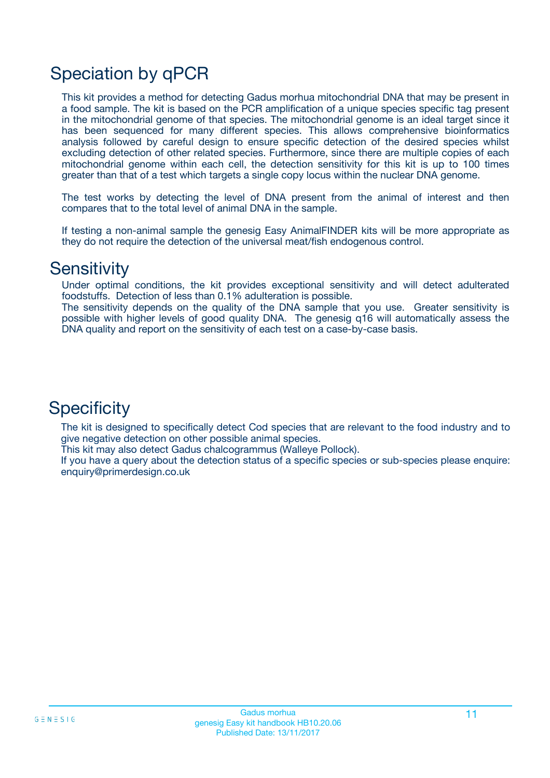# Speciation by qPCR

This kit provides a method for detecting Gadus morhua mitochondrial DNA that may be present in a food sample. The kit is based on the PCR amplification of a unique species specific tag present in the mitochondrial genome of that species. The mitochondrial genome is an ideal target since it has been sequenced for many different species. This allows comprehensive bioinformatics analysis followed by careful design to ensure specific detection of the desired species whilst excluding detection of other related species. Furthermore, since there are multiple copies of each mitochondrial genome within each cell, the detection sensitivity for this kit is up to 100 times greater than that of a test which targets a single copy locus within the nuclear DNA genome.

The test works by detecting the level of DNA present from the animal of interest and then compares that to the total level of animal DNA in the sample.

If testing a non-animal sample the genesig Easy AnimalFINDER kits will be more appropriate as they do not require the detection of the universal meat/fish endogenous control.

### **Sensitivity**

Under optimal conditions, the kit provides exceptional sensitivity and will detect adulterated foodstuffs. Detection of less than 0.1% adulteration is possible.

The sensitivity depends on the quality of the DNA sample that you use. Greater sensitivity is possible with higher levels of good quality DNA. The genesig q16 will automatically assess the DNA quality and report on the sensitivity of each test on a case-by-case basis.

### **Specificity**

The kit is designed to specifically detect Cod species that are relevant to the food industry and to give negative detection on other possible animal species.

This kit may also detect Gadus chalcogrammus (Walleye Pollock).

If you have a query about the detection status of a specific species or sub-species please enquire: enquiry@primerdesign.co.uk